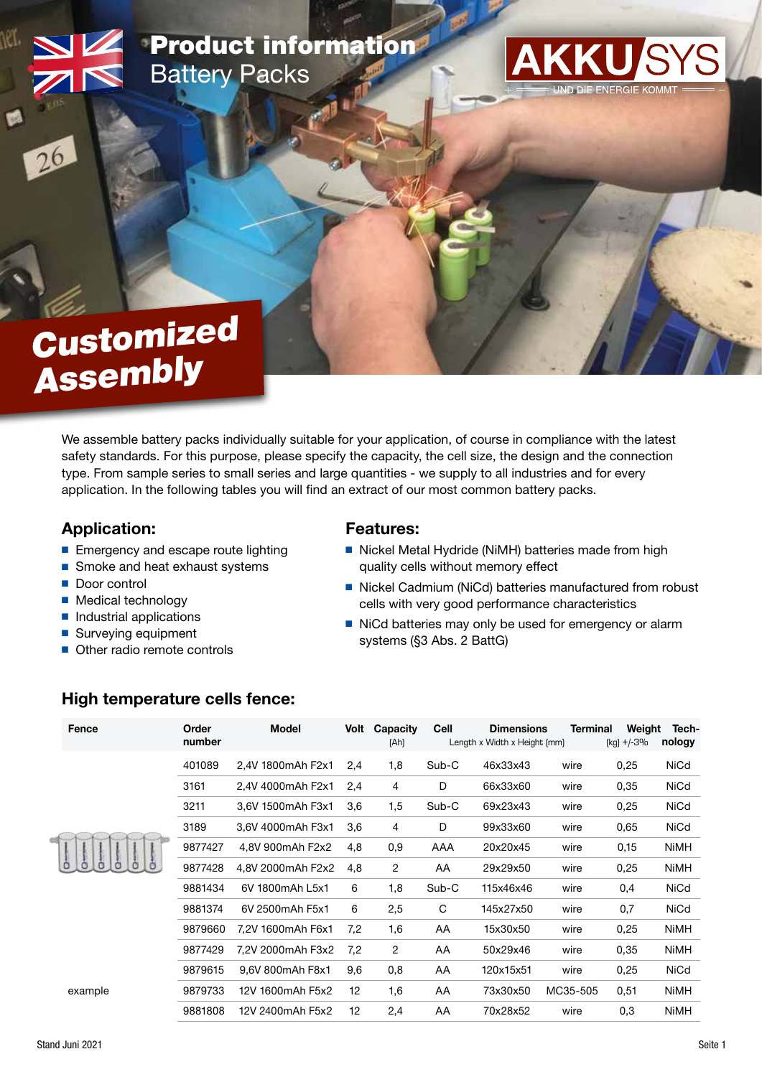## Product information Battery Packs



# **Assembly** Customized

We assemble battery packs individually suitable for your application, of course in compliance with the latest safety standards. For this purpose, please specify the capacity, the cell size, the design and the connection type. From sample series to small series and large quantities - we supply to all industries and for every application. In the following tables you will find an extract of our most common battery packs.

#### Application:

- Emergency and escape route lighting
- Smoke and heat exhaust systems
- Door control
- Medical technology
- Industrial applications
- Surveying equipment
- Other radio remote controls

#### Features:

- Nickel Metal Hydride (NiMH) batteries made from high quality cells without memory effect
- Nickel Cadmium (NiCd) batteries manufactured from robust cells with very good performance characteristics
- NiCd batteries may only be used for emergency or alarm systems (§3 Abs. 2 BattG)

#### High temperature cells fence:

| Fence   | Order<br>number | Model             | Volt | Capacity<br>[Ah] | Cell  | <b>Dimensions</b><br>Length x Width x Height [mm] | <b>Terminal</b> | Weight<br>$[kg] + (-3\%$ | Tech-<br>nology |
|---------|-----------------|-------------------|------|------------------|-------|---------------------------------------------------|-----------------|--------------------------|-----------------|
|         | 401089          | 2,4V 1800mAh F2x1 | 2,4  | 1,8              | Sub-C | 46x33x43                                          | wire            | 0,25                     | NiCd            |
|         | 3161            | 2,4V 4000mAh F2x1 | 2,4  | 4                | D     | 66x33x60                                          | wire            | 0,35                     | NiCd            |
|         | 3211            | 3.6V 1500mAh F3x1 | 3,6  | 1,5              | Sub-C | 69x23x43                                          | wire            | 0,25                     | NiCd            |
|         | 3189            | 3,6V 4000mAh F3x1 | 3,6  | 4                | D     | 99x33x60                                          | wire            | 0,65                     | NiCd            |
|         | 9877427         | 4,8V 900mAh F2x2  | 4,8  | 0,9              | AAA   | 20x20x45                                          | wire            | 0,15                     | <b>NiMH</b>     |
|         | 9877428         | 4,8V 2000mAh F2x2 | 4,8  | $\overline{2}$   | AA    | 29x29x50                                          | wire            | 0,25                     | <b>NiMH</b>     |
|         | 9881434         | 6V 1800mAh L5x1   | 6    | 1,8              | Sub-C | 115x46x46                                         | wire            | 0,4                      | NiCd            |
|         | 9881374         | 6V 2500mAh F5x1   | 6    | 2,5              | C     | 145x27x50                                         | wire            | 0,7                      | NiCd            |
|         | 9879660         | 7.2V 1600mAh F6x1 | 7,2  | 1,6              | AA    | 15x30x50                                          | wire            | 0,25                     | <b>NiMH</b>     |
|         | 9877429         | 7,2V 2000mAh F3x2 | 7,2  | 2                | AA    | 50x29x46                                          | wire            | 0,35                     | <b>NiMH</b>     |
|         | 9879615         | 9,6V 800mAh F8x1  | 9,6  | 0,8              | AA    | 120x15x51                                         | wire            | 0,25                     | NiCd            |
| example | 9879733         | 12V 1600mAh F5x2  | 12   | 1,6              | AA    | 73x30x50                                          | MC35-505        | 0,51                     | <b>NiMH</b>     |
|         | 9881808         | 12V 2400mAh F5x2  | 12   | 2,4              | AA    | 70x28x52                                          | wire            | 0,3                      | <b>NiMH</b>     |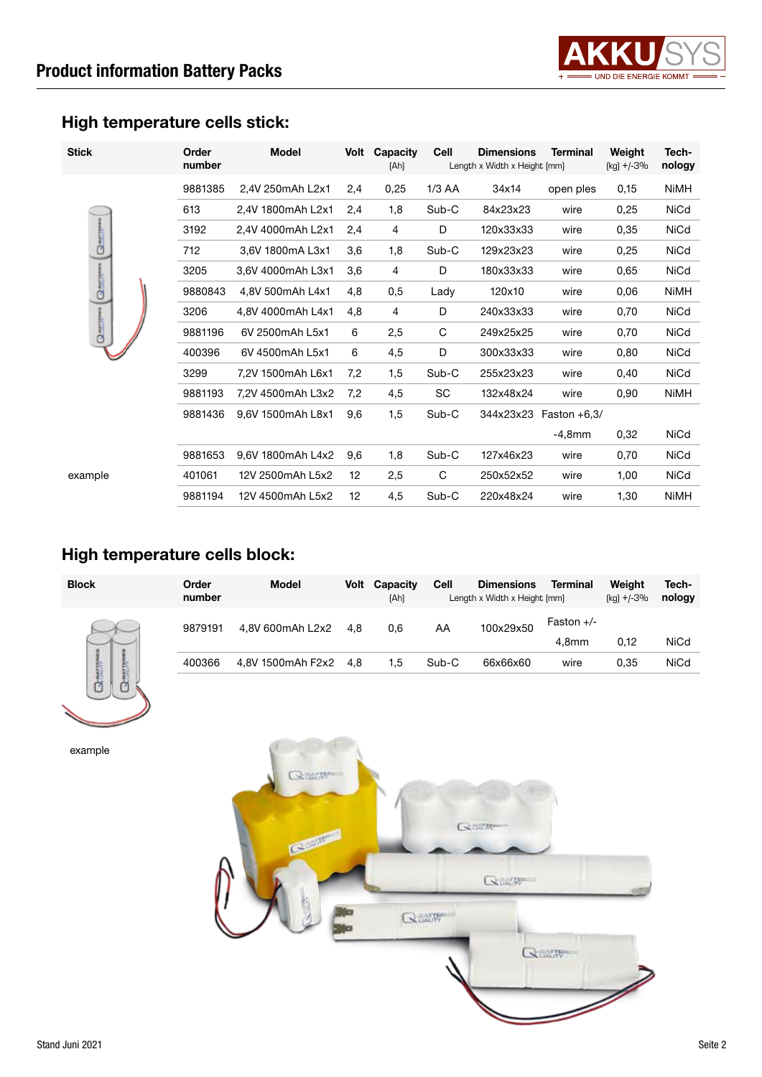

## High temperature cells stick:

| <b>Stick</b>            | Order<br>number | <b>Model</b>      | Volt | Capacity<br>[Ah] | Cell     | <b>Dimensions</b><br>Length x Width x Height (mm) | <b>Terminal</b> | Weight<br>$[kg] + (-3%$ | Tech-<br>nology |
|-------------------------|-----------------|-------------------|------|------------------|----------|---------------------------------------------------|-----------------|-------------------------|-----------------|
|                         | 9881385         | 2,4V 250mAh L2x1  | 2,4  | 0,25             | $1/3$ AA | 34x14                                             | open ples       | 0,15                    | <b>NiMH</b>     |
|                         | 613             | 2.4V 1800mAh L2x1 | 2,4  | 1,8              | Sub-C    | 84x23x23                                          | wire            | 0,25                    | <b>NiCd</b>     |
|                         | 3192            | 2,4V 4000mAh L2x1 | 2,4  | 4                | D        | 120x33x33                                         | wire            | 0,35                    | <b>NiCd</b>     |
| <b>Basic</b><br>◆       | 712             | 3,6V 1800mA L3x1  | 3,6  | 1,8              | Sub-C    | 129x23x23                                         | wire            | 0,25                    | <b>NiCd</b>     |
|                         | 3205            | 3,6V 4000mAh L3x1 | 3,6  | 4                | D        | 180x33x33                                         | wire            | 0,65                    | <b>NiCd</b>     |
| $\overline{\mathsf{Q}}$ | 9880843         | 4.8V 500mAh L4x1  | 4,8  | 0,5              | Lady     | 120x10                                            | wire            | 0,06                    | <b>NiMH</b>     |
| $Q$ and $R$ area        | 3206            | 4,8V 4000mAh L4x1 | 4,8  | 4                | D        | 240x33x33                                         | wire            | 0,70                    | <b>NiCd</b>     |
|                         | 9881196         | 6V 2500mAh L5x1   | 6    | 2,5              | C        | 249x25x25                                         | wire            | 0,70                    | <b>NiCd</b>     |
|                         | 400396          | 6V 4500mAh L5x1   | 6    | 4,5              | D        | 300x33x33                                         | wire            | 0,80                    | <b>NiCd</b>     |
|                         | 3299            | 7,2V 1500mAh L6x1 | 7,2  | 1,5              | Sub-C    | 255x23x23                                         | wire            | 0,40                    | <b>NiCd</b>     |
|                         | 9881193         | 7,2V 4500mAh L3x2 | 7,2  | 4,5              | SC       | 132x48x24                                         | wire            | 0,90                    | <b>NiMH</b>     |
|                         | 9881436         | 9,6V 1500mAh L8x1 | 9,6  | 1,5              | Sub-C    | 344x23x23                                         | Faston $+6,3/$  |                         |                 |
|                         |                 |                   |      |                  |          |                                                   | $-4,8$ mm       | 0,32                    | <b>NiCd</b>     |
|                         | 9881653         | 9,6V 1800mAh L4x2 | 9,6  | 1,8              | Sub-C    | 127x46x23                                         | wire            | 0,70                    | <b>NiCd</b>     |
| example                 | 401061          | 12V 2500mAh L5x2  | 12   | 2,5              | C        | 250x52x52                                         | wire            | 1,00                    | <b>NiCd</b>     |
|                         | 9881194         | 12V 4500mAh L5x2  | 12   | 4,5              | Sub-C    | 220x48x24                                         | wire            | 1,30                    | <b>NiMH</b>     |

## High temperature cells block:

| <b>Block</b> | Order<br>number | <b>Model</b>      | Volt | Capacity<br>[Ah] | Cell  | <b>Dimensions</b><br>Length x Width x Height (mm) | <b>Terminal</b>                   | Weight<br>$[kq] + (-3%$ | Tech-<br>nology |
|--------------|-----------------|-------------------|------|------------------|-------|---------------------------------------------------|-----------------------------------|-------------------------|-----------------|
| Qeerge<br>m. | 9879191         | 4.8V 600mAh L2x2  | 4.8  | 0.6              | AA    | 100x29x50                                         | Faston $+/-$<br>4.8 <sub>mm</sub> | 0,12                    | <b>NiCd</b>     |
|              | 400366          | 4,8V 1500mAh F2x2 | 4.8  | 1.5              | Sub-C | 66x66x60                                          | wire                              | 0.35                    | <b>NiCd</b>     |

example

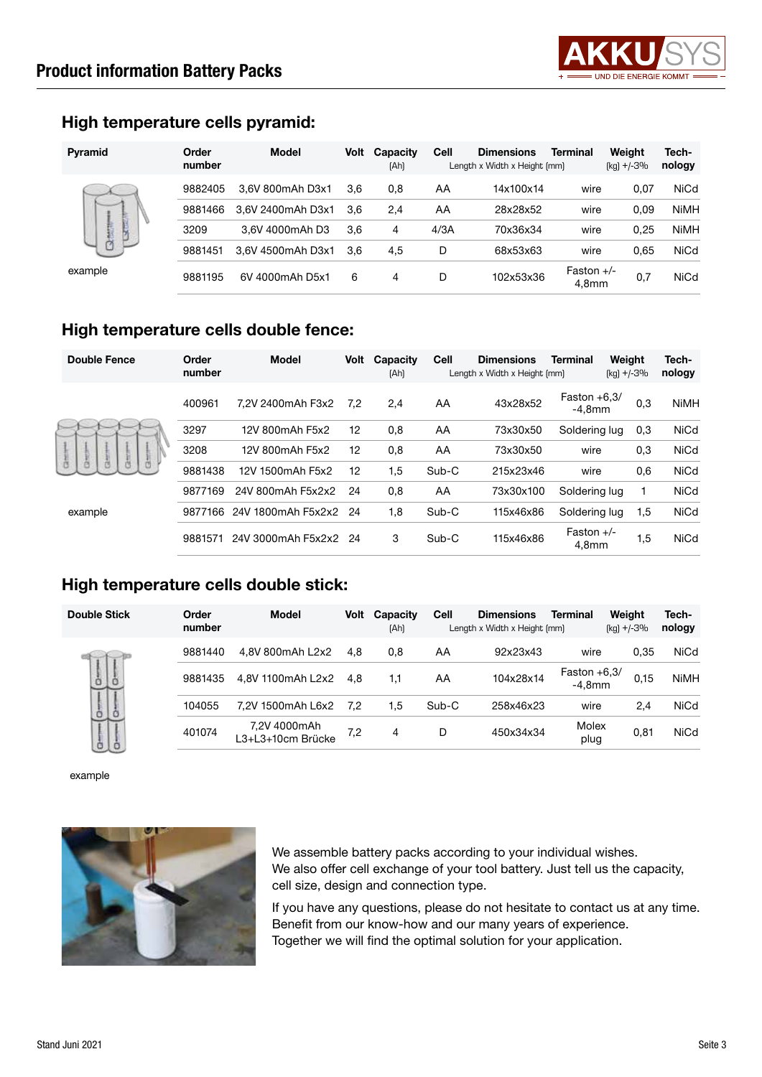

#### High temperature cells pyramid:

| <b>Pyramid</b>               | Order<br>number | <b>Model</b>      | Volt | Capacity<br>[Ah] | Cell | <b>Dimensions</b><br>Length x Width x Height (mm) | Terminal                          | Weight<br>(kg) +/-3% | Tech-<br>nology |
|------------------------------|-----------------|-------------------|------|------------------|------|---------------------------------------------------|-----------------------------------|----------------------|-----------------|
| Ļ<br>$\mathbb{R}$<br>example | 9882405         | 3.6V 800mAh D3x1  | 3,6  | 0,8              | AA   | 14x100x14                                         | wire                              | 0,07                 | <b>NiCd</b>     |
|                              | 9881466         | 3.6V 2400mAh D3x1 | 3.6  | 2,4              | AA   | 28x28x52                                          | wire                              | 0,09                 | <b>NiMH</b>     |
|                              | 3209            | 3.6V 4000mAh D3   | 3,6  | 4                | 4/3A | 70x36x34                                          | wire                              | 0,25                 | <b>NiMH</b>     |
|                              | 9881451         | 3,6V 4500mAh D3x1 | 3.6  | 4,5              | D    | 68x53x63                                          | wire                              | 0,65                 | <b>NiCd</b>     |
|                              | 9881195         | 6V 4000mAh D5x1   | 6    | 4                | D    | 102x53x36                                         | Faston $+/-$<br>4.8 <sub>mm</sub> | 0,7                  | <b>NiCd</b>     |

#### High temperature cells double fence:

| <b>Double Fence</b> | Order<br>number | Model                 | Volt | Capacity<br>[Ah] | Cell  | <b>Dimensions</b><br>Length x Width x Height (mm) | <b>Terminal</b>                   | Weight<br>$[kq] + -3%$ | Tech-<br>nology |
|---------------------|-----------------|-----------------------|------|------------------|-------|---------------------------------------------------|-----------------------------------|------------------------|-----------------|
| 白<br>example        | 400961          | 7.2V 2400mAh F3x2     | 7.2  | 2,4              | AA    | 43x28x52                                          | Faston $+6,3/$<br>$-4.8$ mm       | 0,3                    | <b>NiMH</b>     |
|                     | 3297            | 12V 800mAh F5x2       | 12   | 0,8              | AA    | 73x30x50                                          | Soldering lug                     | 0,3                    | <b>NiCd</b>     |
|                     | 3208            | 12V 800mAh F5x2       | 12   | 0,8              | AA    | 73x30x50                                          | wire                              | 0,3                    | <b>NiCd</b>     |
|                     | 9881438         | 12V 1500mAh F5x2      | 12   | 1,5              | Sub-C | 215x23x46                                         | wire                              | 0,6                    | <b>NiCd</b>     |
|                     | 9877169         | 24V 800mAh F5x2x2     | 24   | 0,8              | AA    | 73x30x100                                         | Soldering lug                     |                        | <b>NiCd</b>     |
|                     | 9877166         | 24V 1800mAh F5x2x2 24 |      | 1,8              | Sub-C | 115x46x86                                         | Soldering lug                     | 1,5                    | <b>NiCd</b>     |
|                     | 9881571         | 24V 3000mAh F5x2x2 24 |      | 3                | Sub-C | 115x46x86                                         | Faston $+/-$<br>4.8 <sub>mm</sub> | 1,5                    | <b>NiCd</b>     |

#### High temperature cells double stick:

| <b>Double Stick</b> | Order<br>number | Model                             | Volt | Capacity<br>[Ah] | Cell  | <b>Dimensions</b><br>Length x Width x Height (mm) | Terminal                    | Weight<br>$[kq] + (-3%$ | Tech-<br>nology |
|---------------------|-----------------|-----------------------------------|------|------------------|-------|---------------------------------------------------|-----------------------------|-------------------------|-----------------|
| å                   | 9881440         | 4.8V 800mAh L2x2                  | 4.8  | 0.8              | AA    | 92x23x43                                          | wire                        | 0.35                    | <b>NiCd</b>     |
|                     | 9881435         | 4.8V 1100mAh L2x2                 | 4.8  | 1.1              | AA    | 104x28x14                                         | Faston $+6,3/$<br>$-4.8$ mm | 0,15                    | <b>NiMH</b>     |
| ò<br>ö              | 104055          | 7,2V 1500mAh L6x2                 | 7,2  | 1.5              | Sub-C | 258x46x23                                         | wire                        | 2,4                     | <b>NiCd</b>     |
| ò                   | 401074          | 7,2V 4000mAh<br>L3+L3+10cm Brücke | 7,2  | 4                | D     | 450x34x34                                         | Molex<br>plug               | 0,81                    | <b>NiCd</b>     |

example



We assemble battery packs according to your individual wishes. We also offer cell exchange of your tool battery. Just tell us the capacity, cell size, design and connection type.

If you have any questions, please do not hesitate to contact us at any time. Benefit from our know-how and our many years of experience. Together we will find the optimal solution for your application.